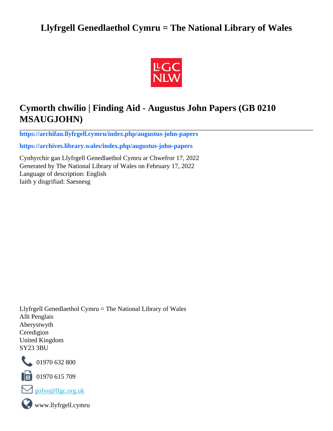# **Llyfrgell Genedlaethol Cymru = The National Library of Wales**



# **Cymorth chwilio | Finding Aid - Augustus John Papers (GB 0210 MSAUGJOHN)**

**[https://archifau.llyfrgell.cymru/index.php/augustus-john-papers](https://archifau.llyfrgell.cymru/index.php/augustus-john-papers;isad?sf_culture=cy)**

**[https://archives.library.wales/index.php/augustus-john-papers](https://archives.library.wales/index.php/augustus-john-papers;isad?sf_culture=en)**

Cynhyrchir gan Llyfrgell Genedlaethol Cymru ar Chwefror 17, 2022 Generated by The National Library of Wales on February 17, 2022 Language of description: English Iaith y disgrifiad: Saesnesg

Llyfrgell Genedlaethol Cymru = The National Library of Wales Allt Penglais Aberystwyth Ceredigion United Kingdom SY23 3BU



101970 632 800

 $\blacksquare$  01970 615 709



www.llyfrgell.cymru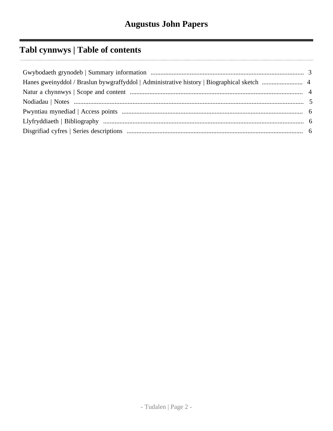# Tabl cynnwys | Table of contents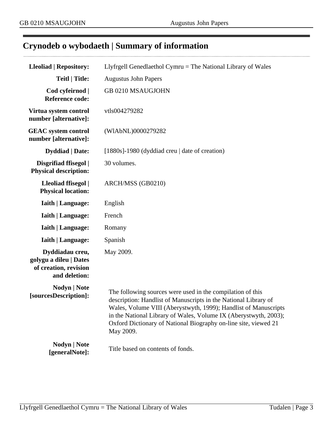$\cdots$ 

# <span id="page-2-0"></span>**Crynodeb o wybodaeth | Summary of information**

| <b>Lleoliad   Repository:</b>                                                       | Llyfrgell Genedlaethol Cymru $=$ The National Library of Wales                                                                                                                                                                                                                                                                                       |
|-------------------------------------------------------------------------------------|------------------------------------------------------------------------------------------------------------------------------------------------------------------------------------------------------------------------------------------------------------------------------------------------------------------------------------------------------|
| <b>Teitl   Title:</b>                                                               | <b>Augustus John Papers</b>                                                                                                                                                                                                                                                                                                                          |
| Cod cyfeirnod  <br><b>Reference code:</b>                                           | GB 0210 MSAUGJOHN                                                                                                                                                                                                                                                                                                                                    |
| Virtua system control<br>number [alternative]:                                      | vtls004279282                                                                                                                                                                                                                                                                                                                                        |
| <b>GEAC</b> system control<br>number [alternative]:                                 | (WIAbNL)0000279282                                                                                                                                                                                                                                                                                                                                   |
| <b>Dyddiad</b>   Date:                                                              | $[1880s]$ -1980 (dyddiad creu   date of creation)                                                                                                                                                                                                                                                                                                    |
| Disgrifiad ffisegol  <br><b>Physical description:</b>                               | 30 volumes.                                                                                                                                                                                                                                                                                                                                          |
| Lleoliad ffisegol  <br><b>Physical location:</b>                                    | ARCH/MSS (GB0210)                                                                                                                                                                                                                                                                                                                                    |
| Iaith   Language:                                                                   | English                                                                                                                                                                                                                                                                                                                                              |
| <b>Iaith   Language:</b>                                                            | French                                                                                                                                                                                                                                                                                                                                               |
| <b>Iaith   Language:</b>                                                            | Romany                                                                                                                                                                                                                                                                                                                                               |
| <b>Iaith   Language:</b>                                                            | Spanish                                                                                                                                                                                                                                                                                                                                              |
| Dyddiadau creu,<br>golygu a dileu   Dates<br>of creation, revision<br>and deletion: | May 2009.                                                                                                                                                                                                                                                                                                                                            |
| <b>Nodyn</b>   <b>Note</b><br>[sourcesDescription]:                                 | The following sources were used in the compilation of this<br>description: Handlist of Manuscripts in the National Library of<br>Wales, Volume VIII (Aberystwyth, 1999); Handlist of Manuscripts<br>in the National Library of Wales, Volume IX (Aberystwyth, 2003);<br>Oxford Dictionary of National Biography on-line site, viewed 21<br>May 2009. |
| <b>Nodyn</b>   <b>Note</b><br>[generalNote]:                                        | Title based on contents of fonds.                                                                                                                                                                                                                                                                                                                    |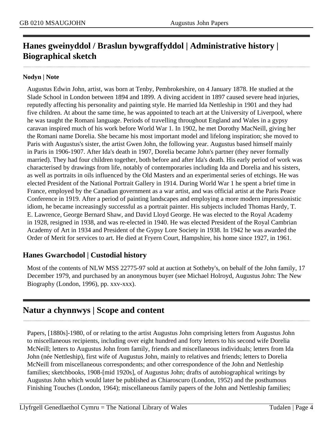## <span id="page-3-0"></span>**Hanes gweinyddol / Braslun bywgraffyddol | Administrative history | Biographical sketch**

#### **Nodyn | Note**

Augustus Edwin John, artist, was born at Tenby, Pembrokeshire, on 4 January 1878. He studied at the Slade School in London between 1894 and 1899. A diving accident in 1897 caused severe head injuries, reputedly affecting his personality and painting style. He married Ida Nettleship in 1901 and they had five children. At about the same time, he was appointed to teach art at the University of Liverpool, where he was taught the Romani language. Periods of travelling throughout England and Wales in a gypsy caravan inspired much of his work before World War 1. In 1902, he met Dorothy MacNeill, giving her the Romani name Dorelia. She became his most important model and lifelong inspiration; she moved to Paris with Augustus's sister, the artist Gwen John, the following year. Augustus based himself mainly in Paris in 1906-1907. After Ida's death in 1907, Dorelia became John's partner (they never formally married). They had four children together, both before and after Ida's death. His early period of work was characterised by drawings from life, notably of contemporaries including Ida and Dorelia and his sisters, as well as portraits in oils influenced by the Old Masters and an experimental series of etchings. He was elected President of the National Portrait Gallery in 1914. During World War 1 he spent a brief time in France, employed by the Canadian government as a war artist, and was official artist at the Paris Peace Conference in 1919. After a period of painting landscapes and employing a more modern impressionistic idiom, he became increasingly successful as a portrait painter. His subjects included Thomas Hardy, T. E. Lawrence, George Bernard Shaw, and David Lloyd George. He was elected to the Royal Academy in 1928, resigned in 1938, and was re-elected in 1940. He was elected President of the Royal Cambrian Academy of Art in 1934 and President of the Gypsy Lore Society in 1938. In 1942 he was awarded the Order of Merit for services to art. He died at Fryern Court, Hampshire, his home since 1927, in 1961.

### **Hanes Gwarchodol | Custodial history**

Most of the contents of NLW MSS 22775-97 sold at auction at Sotheby's, on behalf of the John family, 17 December 1979, and purchased by an anonymous buyer (see Michael Holroyd, Augustus John: The New Biography (London, 1996), pp. xxv-xxx).

## <span id="page-3-1"></span>**Natur a chynnwys | Scope and content**

Papers, [1880s]-1980, of or relating to the artist Augustus John comprising letters from Augustus John to miscellaneous recipients, including over eight hundred and forty letters to his second wife Dorelia McNeill; letters to Augustus John from family, friends and miscellaneous individuals; letters from Ida John (née Nettleship), first wife of Augustus John, mainly to relatives and friends; letters to Dorelia McNeill from miscellaneous correspondents; and other correspondence of the John and Nettleship families; sketchbooks, 1908-[mid 1920s], of Augustus John; drafts of autobiographical writings by Augustus John which would later be published as Chiaroscuro (London, 1952) and the posthumous Finishing Touches (London, 1964); miscellaneous family papers of the John and Nettleship families;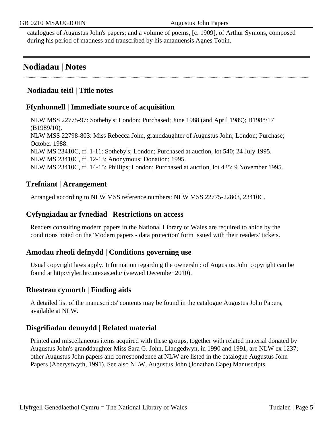catalogues of Augustus John's papers; and a volume of poems, [c. 1909], of Arthur Symons, composed during his period of madness and transcribed by his amanuensis Agnes Tobin.

## <span id="page-4-0"></span>**Nodiadau | Notes**

## **Nodiadau teitl | Title notes**

## **Ffynhonnell | Immediate source of acquisition**

NLW MSS 22775-97: Sotheby's; London; Purchased; June 1988 (and April 1989); B1988/17 (B1989/10). NLW MSS 22798-803: Miss Rebecca John, granddaughter of Augustus John; London; Purchase; October 1988. NLW MS 23410C, ff. 1-11: Sotheby's; London; Purchased at auction, lot 540; 24 July 1995. NLW MS 23410C, ff. 12-13: Anonymous; Donation; 1995. NLW MS 23410C, ff. 14-15: Phillips; London; Purchased at auction, lot 425; 9 November 1995.

### **Trefniant | Arrangement**

Arranged according to NLW MSS reference numbers: NLW MSS 22775-22803, 23410C.

#### **Cyfyngiadau ar fynediad | Restrictions on access**

Readers consulting modern papers in the National Library of Wales are required to abide by the conditions noted on the 'Modern papers - data protection' form issued with their readers' tickets.

### **Amodau rheoli defnydd | Conditions governing use**

Usual copyright laws apply. Information regarding the ownership of Augustus John copyright can be found at http://tyler.hrc.utexas.edu/ (viewed December 2010).

### **Rhestrau cymorth | Finding aids**

A detailed list of the manuscripts' contents may be found in the catalogue Augustus John Papers, available at NLW.

### **Disgrifiadau deunydd | Related material**

Printed and miscellaneous items acquired with these groups, together with related material donated by Augustus John's granddaughter Miss Sara G. John, Llangedwyn, in 1990 and 1991, are NLW ex 1237; other Augustus John papers and correspondence at NLW are listed in the catalogue Augustus John Papers (Aberystwyth, 1991). See also NLW, Augustus John (Jonathan Cape) Manuscripts.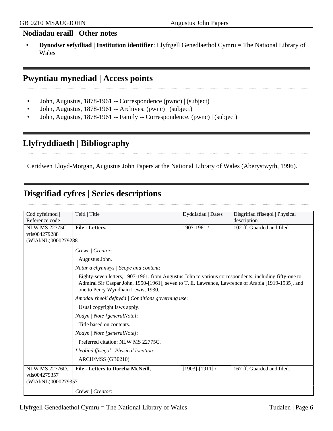### **Nodiadau eraill | Other notes**

• **Dynodwr sefydliad | Institution identifier**: Llyfrgell Genedlaethol Cymru = The National Library of Wales

## <span id="page-5-0"></span>**Pwyntiau mynediad | Access points**

- John, Augustus, 1878-1961 -- Correspondence (pwnc) | (subject)
- John, Augustus, 1878-1961 -- Archives. (pwnc) | (subject)
- John, Augustus, 1878-1961 -- Family -- Correspondence. (pwnc) | (subject)

## <span id="page-5-1"></span>**Llyfryddiaeth | Bibliography**

Ceridwen Lloyd-Morgan, Augustus John Papers at the National Library of Wales (Aberystwyth, 1996).

# <span id="page-5-2"></span>**Disgrifiad cyfres | Series descriptions**

| Cod cyfeirnod         | Teitl   Title                                                                                                                                                                                                                                    | Dyddiadau   Dates     | Disgrifiad ffisegol   Physical |
|-----------------------|--------------------------------------------------------------------------------------------------------------------------------------------------------------------------------------------------------------------------------------------------|-----------------------|--------------------------------|
| Reference code        |                                                                                                                                                                                                                                                  |                       | description                    |
| <b>NLW MS 22775C.</b> | File - Letters,                                                                                                                                                                                                                                  | 1907-1961 /           | 102 ff. Guarded and filed.     |
| vtls004279288         |                                                                                                                                                                                                                                                  |                       |                                |
| (WIAbNL)0000279288    |                                                                                                                                                                                                                                                  |                       |                                |
|                       | Crëwr   Creator:                                                                                                                                                                                                                                 |                       |                                |
|                       | Augustus John.                                                                                                                                                                                                                                   |                       |                                |
|                       | Natur a chynnwys / Scope and content:                                                                                                                                                                                                            |                       |                                |
|                       | Eighty-seven letters, 1907-1961, from Augustus John to various correspondents, including fifty-one to<br>Admiral Sir Caspar John, 1950-[1961], seven to T. E. Lawrence, Lawrence of Arabia [1919-1935], and<br>one to Percy Wyndham Lewis, 1930. |                       |                                |
|                       | Amodau rheoli defnydd   Conditions governing use:                                                                                                                                                                                                |                       |                                |
|                       | Usual copyright laws apply.                                                                                                                                                                                                                      |                       |                                |
|                       | Nodyn / Note [generalNote]:                                                                                                                                                                                                                      |                       |                                |
|                       | Title based on contents.                                                                                                                                                                                                                         |                       |                                |
|                       | Nodyn   Note [generalNote]:                                                                                                                                                                                                                      |                       |                                |
|                       | Preferred citation: NLW MS 22775C.                                                                                                                                                                                                               |                       |                                |
|                       | Lleoliad ffisegol   Physical location:                                                                                                                                                                                                           |                       |                                |
|                       | ARCH/MSS (GB0210)                                                                                                                                                                                                                                |                       |                                |
| <b>NLW MS 22776D.</b> | File - Letters to Dorelia McNeill,                                                                                                                                                                                                               | $[1903]$ - $[1911]$ / | 167 ff. Guarded and filed.     |
| vtls004279357         |                                                                                                                                                                                                                                                  |                       |                                |
| (WIAbNL)0000279357    |                                                                                                                                                                                                                                                  |                       |                                |
|                       | Crëwr   Creator:                                                                                                                                                                                                                                 |                       |                                |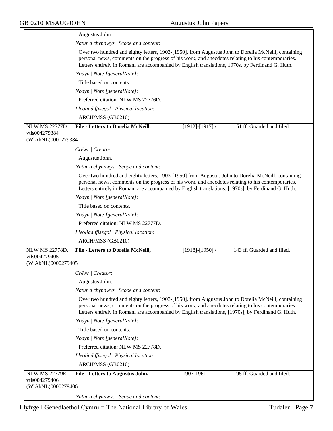|                                     | Augustus John.                                                                                                                                                                                                                                                                                                  |
|-------------------------------------|-----------------------------------------------------------------------------------------------------------------------------------------------------------------------------------------------------------------------------------------------------------------------------------------------------------------|
|                                     | Natur a chynnwys / Scope and content:                                                                                                                                                                                                                                                                           |
|                                     | Over two hundred and eighty letters, 1903-[1950], from Augustus John to Dorelia McNeill, containing<br>personal news, comments on the progress of his work, and anecdotes relating to his contemporaries.<br>Letters entirely in Romani are accompanied by English translations, 1970s, by Ferdinand G. Huth.   |
|                                     | Nodyn   Note [generalNote]:                                                                                                                                                                                                                                                                                     |
|                                     | Title based on contents.                                                                                                                                                                                                                                                                                        |
|                                     | Nodyn   Note [generalNote]:                                                                                                                                                                                                                                                                                     |
|                                     | Preferred citation: NLW MS 22776D.                                                                                                                                                                                                                                                                              |
|                                     | Lleoliad ffisegol   Physical location:                                                                                                                                                                                                                                                                          |
|                                     | ARCH/MSS (GB0210)                                                                                                                                                                                                                                                                                               |
| <b>NLW MS 22777D.</b>               | 151 ff. Guarded and filed.<br>File - Letters to Dorelia McNeill,<br>$[1912]$ - $[1917]$ /                                                                                                                                                                                                                       |
| vtls004279384<br>(WIAbNL)0000279384 |                                                                                                                                                                                                                                                                                                                 |
|                                     | Crëwr   Creator:                                                                                                                                                                                                                                                                                                |
|                                     | Augustus John.                                                                                                                                                                                                                                                                                                  |
|                                     | Natur a chynnwys / Scope and content:                                                                                                                                                                                                                                                                           |
|                                     | Over two hundred and eighty letters, 1903-[1950] from Augustus John to Dorelia McNeill, containing<br>personal news, comments on the progress of his work, and anecdotes relating to his contemporaries.<br>Letters entirely in Romani are accompanied by English translations, [1970s], by Ferdinand G. Huth.  |
|                                     | Nodyn   Note [generalNote]:                                                                                                                                                                                                                                                                                     |
|                                     | Title based on contents.                                                                                                                                                                                                                                                                                        |
|                                     | Nodyn   Note [generalNote]:                                                                                                                                                                                                                                                                                     |
|                                     | Preferred citation: NLW MS 22777D.                                                                                                                                                                                                                                                                              |
|                                     | Lleoliad ffisegol   Physical location:                                                                                                                                                                                                                                                                          |
|                                     | ARCH/MSS (GB0210)                                                                                                                                                                                                                                                                                               |
| <b>NLW MS 22778D.</b>               | File - Letters to Dorelia McNeill,<br>143 ff. Guarded and filed.<br>$[1918]$ - $[1950]$ /                                                                                                                                                                                                                       |
| vtls004279405<br>(WIAbNL)0000279405 |                                                                                                                                                                                                                                                                                                                 |
|                                     | Crëwr / Creator:                                                                                                                                                                                                                                                                                                |
|                                     | Augustus John.                                                                                                                                                                                                                                                                                                  |
|                                     | Natur a chynnwys / Scope and content:                                                                                                                                                                                                                                                                           |
|                                     | Over two hundred and eighty letters, 1903-[1950], from Augustus John to Dorelia McNeill, containing<br>personal news, comments on the progress of his work, and anecdotes relating to his contemporaries.<br>Letters entirely in Romani are accompanied by English translations, [1970s], by Ferdinand G. Huth. |
|                                     | Nodyn   Note [generalNote]:                                                                                                                                                                                                                                                                                     |
|                                     | Title based on contents.                                                                                                                                                                                                                                                                                        |
|                                     | Nodyn   Note [generalNote]:                                                                                                                                                                                                                                                                                     |
|                                     | Preferred citation: NLW MS 22778D.                                                                                                                                                                                                                                                                              |
|                                     | Lleoliad ffisegol   Physical location:                                                                                                                                                                                                                                                                          |
|                                     | ARCH/MSS (GB0210)                                                                                                                                                                                                                                                                                               |
| <b>NLW MS 22779E.</b>               | 195 ff. Guarded and filed.<br>1907-1961.<br>File - Letters to Augustus John,                                                                                                                                                                                                                                    |
| vtls004279406                       |                                                                                                                                                                                                                                                                                                                 |
| (WIAbNL)0000279406                  |                                                                                                                                                                                                                                                                                                                 |
|                                     | Natur a chynnwys / Scope and content:                                                                                                                                                                                                                                                                           |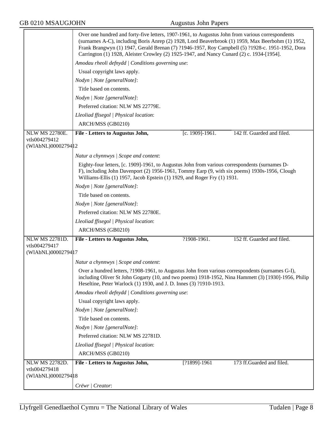|                                      | Over one hundred and forty-five letters, 1907-1961, to Augustus John from various correspondents<br>(surnames A-C), including Boris Anrep (2) 1928, Lord Beaverbrook (1) 1959, Max Beerbohm (1) 1952,<br>Frank Brangwyn (1) 1947, Gerald Brenan (7) ?1946-1957, Roy Campbell (5) ?1928-c. 1951-1952, Dora<br>Carrington (1) 1928, Aleister Crowley (2) 1925-1947, and Nancy Cunard (2) c. 1934-[1954]. |                 |                            |
|--------------------------------------|--------------------------------------------------------------------------------------------------------------------------------------------------------------------------------------------------------------------------------------------------------------------------------------------------------------------------------------------------------------------------------------------------------|-----------------|----------------------------|
|                                      | Amodau rheoli defnydd   Conditions governing use:                                                                                                                                                                                                                                                                                                                                                      |                 |                            |
|                                      | Usual copyright laws apply.                                                                                                                                                                                                                                                                                                                                                                            |                 |                            |
|                                      | Nodyn   Note [generalNote]:                                                                                                                                                                                                                                                                                                                                                                            |                 |                            |
|                                      | Title based on contents.                                                                                                                                                                                                                                                                                                                                                                               |                 |                            |
|                                      | Nodyn   Note [generalNote]:                                                                                                                                                                                                                                                                                                                                                                            |                 |                            |
|                                      | Preferred citation: NLW MS 22779E.                                                                                                                                                                                                                                                                                                                                                                     |                 |                            |
|                                      | Lleoliad ffisegol   Physical location:                                                                                                                                                                                                                                                                                                                                                                 |                 |                            |
|                                      | ARCH/MSS (GB0210)                                                                                                                                                                                                                                                                                                                                                                                      |                 |                            |
| <b>NLW MS 22780E.</b>                | File - Letters to Augustus John,                                                                                                                                                                                                                                                                                                                                                                       | [c. 1909]-1961. | 142 ff. Guarded and filed. |
| vtls004279412                        |                                                                                                                                                                                                                                                                                                                                                                                                        |                 |                            |
| (WIAbNL)00002794 12                  |                                                                                                                                                                                                                                                                                                                                                                                                        |                 |                            |
|                                      | Natur a chynnwys / Scope and content:                                                                                                                                                                                                                                                                                                                                                                  |                 |                            |
|                                      | Eighty-four letters, [c. 1909]-1961, to Augustus John from various correspondents (surnames D-<br>F), including John Davenport (2) 1956-1961, Tommy Earp (9, with six poems) 1930s-1956, Clough<br>Williams-Ellis (1) 1957, Jacob Epstein (1) 1929, and Roger Fry (1) 1931.                                                                                                                            |                 |                            |
|                                      | Nodyn   Note [generalNote]:                                                                                                                                                                                                                                                                                                                                                                            |                 |                            |
|                                      | Title based on contents.                                                                                                                                                                                                                                                                                                                                                                               |                 |                            |
|                                      | Nodyn   Note [generalNote]:                                                                                                                                                                                                                                                                                                                                                                            |                 |                            |
|                                      | Preferred citation: NLW MS 22780E.                                                                                                                                                                                                                                                                                                                                                                     |                 |                            |
|                                      | Lleoliad ffisegol   Physical location:                                                                                                                                                                                                                                                                                                                                                                 |                 |                            |
|                                      | ARCH/MSS (GB0210)                                                                                                                                                                                                                                                                                                                                                                                      |                 |                            |
| <b>NLW MS 22781D.</b>                | File - Letters to Augustus John,                                                                                                                                                                                                                                                                                                                                                                       | ?1908-1961.     | 152 ff. Guarded and filed. |
| vtls004279417<br>(WIAbNL)0000279417  |                                                                                                                                                                                                                                                                                                                                                                                                        |                 |                            |
|                                      | Natur a chynnwys / Scope and content:                                                                                                                                                                                                                                                                                                                                                                  |                 |                            |
|                                      | Over a hundred letters, ?1908-1961, to Augustus John from various correspondents (surnames G-I),<br>including Oliver St John Gogarty (10, and two poems) 1918-1952, Nina Hammett (3) [1930]-1956, Philip<br>Heseltine, Peter Warlock (1) 1930, and J. D. Innes (3) ?1910-1913.                                                                                                                         |                 |                            |
|                                      | Amodau rheoli defnydd   Conditions governing use:                                                                                                                                                                                                                                                                                                                                                      |                 |                            |
|                                      | Usual copyright laws apply.                                                                                                                                                                                                                                                                                                                                                                            |                 |                            |
|                                      | Nodyn   Note [generalNote]:                                                                                                                                                                                                                                                                                                                                                                            |                 |                            |
|                                      | Title based on contents.                                                                                                                                                                                                                                                                                                                                                                               |                 |                            |
|                                      | Nodyn   Note [generalNote]:                                                                                                                                                                                                                                                                                                                                                                            |                 |                            |
|                                      | Preferred citation: NLW MS 22781D.                                                                                                                                                                                                                                                                                                                                                                     |                 |                            |
|                                      | Lleoliad ffisegol   Physical location:                                                                                                                                                                                                                                                                                                                                                                 |                 |                            |
|                                      | ARCH/MSS (GB0210)                                                                                                                                                                                                                                                                                                                                                                                      |                 |                            |
| <b>NLW MS 22782D.</b>                | File - Letters to Augustus John,                                                                                                                                                                                                                                                                                                                                                                       | [?1899]-1961    | 173 ff.Guarded and filed.  |
| vtls004279418<br>(WIAbNL)00002794 18 |                                                                                                                                                                                                                                                                                                                                                                                                        |                 |                            |
|                                      |                                                                                                                                                                                                                                                                                                                                                                                                        |                 |                            |
|                                      | Crëwr   Creator:                                                                                                                                                                                                                                                                                                                                                                                       |                 |                            |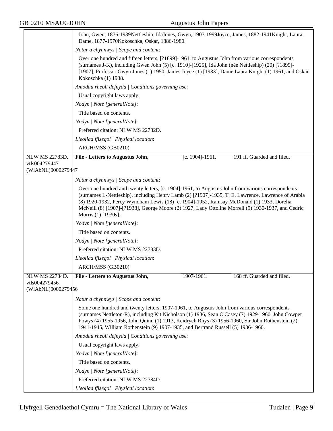|                                     | John, Gwen, 1876-1939Nettleship, IdaJones, Gwyn, 1907-1999Joyce, James, 1882-1941Knight, Laura,<br>Dame, 1877-1970Kokoschka, Oskar, 1886-1980.                                                                                                                                                                                                                                                                                    |                     |                            |
|-------------------------------------|-----------------------------------------------------------------------------------------------------------------------------------------------------------------------------------------------------------------------------------------------------------------------------------------------------------------------------------------------------------------------------------------------------------------------------------|---------------------|----------------------------|
|                                     | Natur a chynnwys / Scope and content:                                                                                                                                                                                                                                                                                                                                                                                             |                     |                            |
|                                     | Over one hundred and fifteen letters, [?1899]-1961, to Augustus John from various correspondents<br>(surnames J-K), including Gwen John (5) [c. 1910]-[1925], Ida John (née Nettleship) (20) [?1899]-<br>[1907], Professor Gwyn Jones (1) 1950, James Joyce (1) [1933], Dame Laura Knight (1) 1961, and Oskar<br>Kokoschka (1) 1938.                                                                                              |                     |                            |
|                                     | Amodau rheoli defnydd   Conditions governing use:                                                                                                                                                                                                                                                                                                                                                                                 |                     |                            |
|                                     | Usual copyright laws apply.                                                                                                                                                                                                                                                                                                                                                                                                       |                     |                            |
|                                     | Nodyn   Note [generalNote]:                                                                                                                                                                                                                                                                                                                                                                                                       |                     |                            |
|                                     | Title based on contents.                                                                                                                                                                                                                                                                                                                                                                                                          |                     |                            |
|                                     | Nodyn   Note [generalNote]:                                                                                                                                                                                                                                                                                                                                                                                                       |                     |                            |
|                                     | Preferred citation: NLW MS 22782D.                                                                                                                                                                                                                                                                                                                                                                                                |                     |                            |
|                                     | Lleoliad ffisegol   Physical location:                                                                                                                                                                                                                                                                                                                                                                                            |                     |                            |
|                                     | ARCH/MSS (GB0210)                                                                                                                                                                                                                                                                                                                                                                                                                 |                     |                            |
| NLW MS 22783D.                      | File - Letters to Augustus John,                                                                                                                                                                                                                                                                                                                                                                                                  | $[c. 1904] - 1961.$ | 191 ff. Guarded and filed. |
| vtls004279447                       |                                                                                                                                                                                                                                                                                                                                                                                                                                   |                     |                            |
| (WIAbNL)0000279447                  |                                                                                                                                                                                                                                                                                                                                                                                                                                   |                     |                            |
|                                     | Natur a chynnwys / Scope and content:                                                                                                                                                                                                                                                                                                                                                                                             |                     |                            |
|                                     | Over one hundred and twenty letters, [c. 1904]-1961, to Augustus John from various correspondents<br>(surnames L-Nettleship), including Henry Lamb (2) [?1907]-1935, T. E. Lawrence, Lawrence of Arabia<br>(8) 1920-1932, Percy Wyndham Lewis (18) [c. 1904]-1952, Ramsay McDonald (1) 1933, Dorelia<br>McNeill (8) [1907]-[?1938], George Moore (2) 1927, Lady Ottoline Morrell (9) 1930-1937, and Cedric<br>Morris (1) [1930s]. |                     |                            |
|                                     | Nodyn   Note [generalNote]:                                                                                                                                                                                                                                                                                                                                                                                                       |                     |                            |
|                                     | Title based on contents.                                                                                                                                                                                                                                                                                                                                                                                                          |                     |                            |
|                                     | Nodyn   Note [generalNote]:                                                                                                                                                                                                                                                                                                                                                                                                       |                     |                            |
|                                     | Preferred citation: NLW MS 22783D.                                                                                                                                                                                                                                                                                                                                                                                                |                     |                            |
|                                     | Lleoliad ffisegol   Physical location:                                                                                                                                                                                                                                                                                                                                                                                            |                     |                            |
|                                     | ARCH/MSS (GB0210)                                                                                                                                                                                                                                                                                                                                                                                                                 |                     |                            |
| <b>NLW MS 22784D.</b>               | File - Letters to Augustus John,                                                                                                                                                                                                                                                                                                                                                                                                  | 1907-1961.          | 168 ff. Guarded and filed. |
| vtls004279456<br>(WIAbNL)0000279456 |                                                                                                                                                                                                                                                                                                                                                                                                                                   |                     |                            |
|                                     |                                                                                                                                                                                                                                                                                                                                                                                                                                   |                     |                            |
|                                     | Natur a chynnwys / Scope and content:                                                                                                                                                                                                                                                                                                                                                                                             |                     |                            |
|                                     | Some one hundred and twenty letters, 1907-1961, to Augustus John from various correspondents<br>(surnames Nettleton-R), including Kit Nicholson (1) 1936, Sean O'Casey (7) 1929-1960, John Cowper<br>Powys (4) 1955-1956, John Quinn (1) 1913, Keidrych Rhys (3) 1956-1960, Sir John Rothenstein (2)<br>1941-1945, William Rothenstein (9) 1907-1935, and Bertrand Russell (5) 1936-1960.                                         |                     |                            |
|                                     | Amodau rheoli defnydd   Conditions governing use:                                                                                                                                                                                                                                                                                                                                                                                 |                     |                            |
|                                     | Usual copyright laws apply.                                                                                                                                                                                                                                                                                                                                                                                                       |                     |                            |
|                                     | Nodyn   Note [generalNote]:                                                                                                                                                                                                                                                                                                                                                                                                       |                     |                            |
|                                     | Title based on contents.                                                                                                                                                                                                                                                                                                                                                                                                          |                     |                            |
|                                     | Nodyn   Note [generalNote]:                                                                                                                                                                                                                                                                                                                                                                                                       |                     |                            |
|                                     | Preferred citation: NLW MS 22784D.                                                                                                                                                                                                                                                                                                                                                                                                |                     |                            |
|                                     | Lleoliad ffisegol   Physical location:                                                                                                                                                                                                                                                                                                                                                                                            |                     |                            |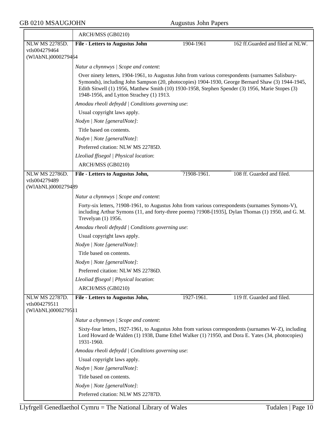|                                                       | ARCH/MSS (GB0210)                                                                                                                                                                                                                                                                                                                                     |             |                                  |
|-------------------------------------------------------|-------------------------------------------------------------------------------------------------------------------------------------------------------------------------------------------------------------------------------------------------------------------------------------------------------------------------------------------------------|-------------|----------------------------------|
| NLW MS 22785D.                                        | <b>File - Letters to Augustus John</b>                                                                                                                                                                                                                                                                                                                | 1904-1961   | 162 ff.Guarded and filed at NLW. |
| vtls004279464                                         |                                                                                                                                                                                                                                                                                                                                                       |             |                                  |
| (WIAbNL)0000279464                                    |                                                                                                                                                                                                                                                                                                                                                       |             |                                  |
|                                                       | Natur a chynnwys / Scope and content:                                                                                                                                                                                                                                                                                                                 |             |                                  |
|                                                       | Over ninety letters, 1904-1961, to Augustus John from various correspondents (surnames Salisbury-<br>Symonds), including John Sampson (20, photocopies) 1904-1930, George Bernard Shaw (3) 1944-1945,<br>Edith Sitwell (1) 1956, Matthew Smith (10) 1930-1958, Stephen Spender (3) 1956, Marie Stopes (3)<br>1948-1956, and Lytton Strachey (1) 1913. |             |                                  |
|                                                       | Amodau rheoli defnydd   Conditions governing use:                                                                                                                                                                                                                                                                                                     |             |                                  |
|                                                       | Usual copyright laws apply.                                                                                                                                                                                                                                                                                                                           |             |                                  |
|                                                       | Nodyn   Note [generalNote]:                                                                                                                                                                                                                                                                                                                           |             |                                  |
|                                                       | Title based on contents.                                                                                                                                                                                                                                                                                                                              |             |                                  |
|                                                       | Nodyn   Note [generalNote]:                                                                                                                                                                                                                                                                                                                           |             |                                  |
|                                                       | Preferred citation: NLW MS 22785D.                                                                                                                                                                                                                                                                                                                    |             |                                  |
|                                                       | Lleoliad ffisegol   Physical location:                                                                                                                                                                                                                                                                                                                |             |                                  |
|                                                       | ARCH/MSS (GB0210)                                                                                                                                                                                                                                                                                                                                     |             |                                  |
| <b>NLW MS 22786D.</b>                                 | File - Letters to Augustus John,                                                                                                                                                                                                                                                                                                                      | ?1908-1961. | 108 ff. Guarded and filed.       |
| vtls004279489<br>(WIAbNL)0000279489                   |                                                                                                                                                                                                                                                                                                                                                       |             |                                  |
|                                                       | Natur a chynnwys / Scope and content:                                                                                                                                                                                                                                                                                                                 |             |                                  |
|                                                       | Forty-six letters, ?1908-1961, to Augustus John from various correspondents (surnames Symons-V),<br>including Arthur Symons (11, and forty-three poems) ?1908-[1935], Dylan Thomas (1) 1950, and G. M.<br>Trevelyan (1) 1956.                                                                                                                         |             |                                  |
|                                                       | Amodau rheoli defnydd / Conditions governing use:                                                                                                                                                                                                                                                                                                     |             |                                  |
|                                                       | Usual copyright laws apply.                                                                                                                                                                                                                                                                                                                           |             |                                  |
|                                                       | Nodyn   Note [generalNote]:                                                                                                                                                                                                                                                                                                                           |             |                                  |
|                                                       | Title based on contents.                                                                                                                                                                                                                                                                                                                              |             |                                  |
|                                                       | Nodyn   Note [generalNote]:                                                                                                                                                                                                                                                                                                                           |             |                                  |
|                                                       | Preferred citation: NLW MS 22786D.                                                                                                                                                                                                                                                                                                                    |             |                                  |
|                                                       | Lleoliad ffisegol   Physical location:                                                                                                                                                                                                                                                                                                                |             |                                  |
|                                                       | ARCH/MSS (GB0210)                                                                                                                                                                                                                                                                                                                                     |             |                                  |
| NLW MS 22787D.<br>vtls004279511<br>(WIAbNL)0000279511 | File - Letters to Augustus John,                                                                                                                                                                                                                                                                                                                      | 1927-1961.  | 119 ff. Guarded and filed.       |
|                                                       | Natur a chynnwys / Scope and content:                                                                                                                                                                                                                                                                                                                 |             |                                  |
|                                                       | Sixty-four letters, 1927-1961, to Augustus John from various correspondents (surnames W-Z), including<br>Lord Howard de Walden (1) 1938, Dame Ethel Walker (1) ?1950, and Dora E. Yates (34, photocopies)<br>1931-1960.                                                                                                                               |             |                                  |
|                                                       | Amodau rheoli defnydd   Conditions governing use:                                                                                                                                                                                                                                                                                                     |             |                                  |
|                                                       | Usual copyright laws apply.                                                                                                                                                                                                                                                                                                                           |             |                                  |
|                                                       | Nodyn   Note [generalNote]:                                                                                                                                                                                                                                                                                                                           |             |                                  |
|                                                       | Title based on contents.                                                                                                                                                                                                                                                                                                                              |             |                                  |
|                                                       | Nodyn   Note [generalNote]:                                                                                                                                                                                                                                                                                                                           |             |                                  |
|                                                       | Preferred citation: NLW MS 22787D.                                                                                                                                                                                                                                                                                                                    |             |                                  |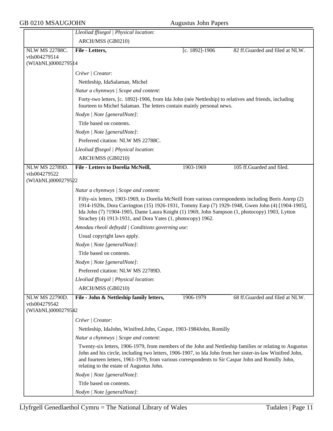## GB 0210 MSAUGJOHN Augustus John Papers

|                                       | Lleoliad ffisegol   Physical location:                                                                                                                                                                                                                                                                                                                                     |                |                                 |
|---------------------------------------|----------------------------------------------------------------------------------------------------------------------------------------------------------------------------------------------------------------------------------------------------------------------------------------------------------------------------------------------------------------------------|----------------|---------------------------------|
|                                       | ARCH/MSS (GB0210)                                                                                                                                                                                                                                                                                                                                                          |                |                                 |
| <b>NLW MS 22788C.</b>                 | File - Letters,                                                                                                                                                                                                                                                                                                                                                            | [c. 1892]-1906 | 82 ff.Guarded and filed at NLW. |
| vtls004279514                         |                                                                                                                                                                                                                                                                                                                                                                            |                |                                 |
| (WIAbNL)00002795 14                   |                                                                                                                                                                                                                                                                                                                                                                            |                |                                 |
|                                       | Crëwr   Creator:                                                                                                                                                                                                                                                                                                                                                           |                |                                 |
|                                       | Nettleship, IdaSalaman, Michel                                                                                                                                                                                                                                                                                                                                             |                |                                 |
|                                       | Natur a chynnwys / Scope and content:                                                                                                                                                                                                                                                                                                                                      |                |                                 |
|                                       | Forty-two letters, [c. 1892]-1906, from Ida John (née Nettleship) to relatives and friends, including<br>fourteen to Michel Salaman. The letters contain mainly personal news.<br>Nodyn   Note [generalNote]:                                                                                                                                                              |                |                                 |
|                                       |                                                                                                                                                                                                                                                                                                                                                                            |                |                                 |
|                                       | Title based on contents.                                                                                                                                                                                                                                                                                                                                                   |                |                                 |
|                                       | Nodyn   Note [generalNote]:                                                                                                                                                                                                                                                                                                                                                |                |                                 |
|                                       | Preferred citation: NLW MS 22788C.                                                                                                                                                                                                                                                                                                                                         |                |                                 |
|                                       | Lleoliad ffisegol   Physical location:                                                                                                                                                                                                                                                                                                                                     |                |                                 |
|                                       | ARCH/MSS (GB0210)                                                                                                                                                                                                                                                                                                                                                          |                |                                 |
| <b>NLW MS 22789D.</b>                 | <b>File - Letters to Dorelia McNeill,</b>                                                                                                                                                                                                                                                                                                                                  | 1903-1969      | 105 ff.Guarded and filed.       |
| vtls004279522<br>(WIAbNL)0000279522   |                                                                                                                                                                                                                                                                                                                                                                            |                |                                 |
|                                       | Natur a chynnwys / Scope and content:                                                                                                                                                                                                                                                                                                                                      |                |                                 |
|                                       | Fifty-six letters, 1903-1969, to Dorelia McNeill from various correspondents including Boris Anrep (2)<br>1914-1920s, Dora Carrington (15) 1926-1931, Tommy Earp (7) 1929-1948, Gwen John (4) [1904-1905],<br>Ida John (7) ?1904-1905, Dame Laura Knight (1) 1969, John Sampson (1, photocopy) 1903, Lytton<br>Strachey (4) 1913-1931, and Dora Yates (1, photocopy) 1962. |                |                                 |
|                                       | Amodau rheoli defnydd   Conditions governing use:                                                                                                                                                                                                                                                                                                                          |                |                                 |
|                                       | Usual copyright laws apply.                                                                                                                                                                                                                                                                                                                                                |                |                                 |
|                                       | Nodyn   Note [generalNote]:                                                                                                                                                                                                                                                                                                                                                |                |                                 |
|                                       | Title based on contents.                                                                                                                                                                                                                                                                                                                                                   |                |                                 |
|                                       | Nodyn   Note [generalNote]:                                                                                                                                                                                                                                                                                                                                                |                |                                 |
|                                       | Preferred citation: NLW MS 22789D.                                                                                                                                                                                                                                                                                                                                         |                |                                 |
|                                       | Lleoliad ffisegol   Physical location:                                                                                                                                                                                                                                                                                                                                     |                |                                 |
|                                       | ARCH/MSS (GB0210)                                                                                                                                                                                                                                                                                                                                                          |                |                                 |
| <b>NLW MS 22790D.</b>                 | File - John & Nettleship family letters,                                                                                                                                                                                                                                                                                                                                   | 1906-1979      | 68 ff.Guarded and filed at NLW. |
| vtls004279542<br>(WIAbNL)00002795\$42 |                                                                                                                                                                                                                                                                                                                                                                            |                |                                 |
|                                       | Crëwr   Creator:                                                                                                                                                                                                                                                                                                                                                           |                |                                 |
|                                       | Nettleship, IdaJohn, Winifred.John, Caspar, 1903-1984John, Romilly                                                                                                                                                                                                                                                                                                         |                |                                 |
|                                       | Natur a chynnwys / Scope and content:                                                                                                                                                                                                                                                                                                                                      |                |                                 |
|                                       | Twenty-six letters, 1906-1979, from members of the John and Nettleship families or relating to Augustus<br>John and his circle, including two letters, 1906-1907, to Ida John from her sister-in-law Winifred John,<br>and fourteen letters, 1961-1979, from various correspondents to Sir Caspar John and Romilly John,<br>relating to the estate of Augustus John.       |                |                                 |
|                                       | Nodyn   Note [generalNote]:                                                                                                                                                                                                                                                                                                                                                |                |                                 |
|                                       | Title based on contents.                                                                                                                                                                                                                                                                                                                                                   |                |                                 |
|                                       | Nodyn   Note [generalNote]:                                                                                                                                                                                                                                                                                                                                                |                |                                 |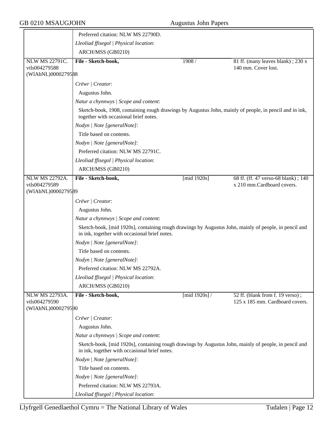|                                        | Preferred citation: NLW MS 22790D.                                                                                                                     |                  |                                                                     |  |  |
|----------------------------------------|--------------------------------------------------------------------------------------------------------------------------------------------------------|------------------|---------------------------------------------------------------------|--|--|
|                                        | Lleoliad ffisegol   Physical location:                                                                                                                 |                  |                                                                     |  |  |
|                                        | ARCH/MSS (GB0210)                                                                                                                                      |                  |                                                                     |  |  |
| NLW MS 22791C.<br>vtls004279588        | File - Sketch-book,                                                                                                                                    | 1908/            | 81 ff. (many leaves blank); 230 x<br>140 mm. Cover lost.            |  |  |
| (WIAbNL)0000279588                     |                                                                                                                                                        |                  |                                                                     |  |  |
|                                        | Crëwr   Creator:                                                                                                                                       |                  |                                                                     |  |  |
|                                        | Augustus John.                                                                                                                                         |                  |                                                                     |  |  |
|                                        | Natur a chynnwys / Scope and content:                                                                                                                  |                  |                                                                     |  |  |
|                                        | Sketch-book, 1908, containing rough drawings by Augustus John, mainly of people, in pencil and in ink,<br>together with occasional brief notes.        |                  |                                                                     |  |  |
|                                        | Nodyn   Note [generalNote]:                                                                                                                            |                  |                                                                     |  |  |
|                                        | Title based on contents.                                                                                                                               |                  |                                                                     |  |  |
|                                        | Nodyn   Note [generalNote]:                                                                                                                            |                  |                                                                     |  |  |
|                                        | Preferred citation: NLW MS 22791C.                                                                                                                     |                  |                                                                     |  |  |
|                                        | Lleoliad ffisegol   Physical location:                                                                                                                 |                  |                                                                     |  |  |
|                                        | ARCH/MSS (GB0210)                                                                                                                                      |                  |                                                                     |  |  |
| <b>NLW MS 22792A.</b>                  | File - Sketch-book,                                                                                                                                    | [ $mid$ 1920s]   | 68 ff. (ff. 47 verso-68 blank); 140                                 |  |  |
| vtls004279589<br>(WIAbNL)0000279589    |                                                                                                                                                        |                  | x 210 mm.Cardboard covers.                                          |  |  |
|                                        |                                                                                                                                                        |                  |                                                                     |  |  |
|                                        | Crëwr   Creator:                                                                                                                                       |                  |                                                                     |  |  |
|                                        | Augustus John.                                                                                                                                         |                  |                                                                     |  |  |
|                                        | Natur a chynnwys / Scope and content:                                                                                                                  |                  |                                                                     |  |  |
|                                        | Sketch-book, [mid 1920s], containing rough drawings by Augustus John, mainly of people, in pencil and<br>in ink, together with occasional brief notes. |                  |                                                                     |  |  |
|                                        | Nodyn   Note [generalNote]:                                                                                                                            |                  |                                                                     |  |  |
|                                        | Title based on contents.                                                                                                                               |                  |                                                                     |  |  |
|                                        | Nodyn   Note [generalNote]:                                                                                                                            |                  |                                                                     |  |  |
|                                        | Preferred citation: NLW MS 22792A.                                                                                                                     |                  |                                                                     |  |  |
|                                        | Lleoliad ffisegol   Physical location:                                                                                                                 |                  |                                                                     |  |  |
|                                        | ARCH/MSS (GB0210)                                                                                                                                      |                  |                                                                     |  |  |
| <b>NLW MS 22793A.</b><br>vtls004279590 | File - Sketch-book,                                                                                                                                    | [mid $1920s$ ] / | 52 ff. (blank from f. 19 verso);<br>125 x 185 mm. Cardboard covers. |  |  |
| (WIAbNL)0000279590                     |                                                                                                                                                        |                  |                                                                     |  |  |
|                                        | Crëwr   Creator:                                                                                                                                       |                  |                                                                     |  |  |
|                                        | Augustus John.                                                                                                                                         |                  |                                                                     |  |  |
|                                        | Natur a chynnwys / Scope and content:                                                                                                                  |                  |                                                                     |  |  |
|                                        | Sketch-book, [mid 1920s], containing rough drawings by Augustus John, mainly of people, in pencil and<br>in ink, together with occasional brief notes. |                  |                                                                     |  |  |
|                                        | Nodyn   Note [generalNote]:                                                                                                                            |                  |                                                                     |  |  |
|                                        | Title based on contents.                                                                                                                               |                  |                                                                     |  |  |
|                                        | Nodyn   Note [generalNote]:                                                                                                                            |                  |                                                                     |  |  |
|                                        | Preferred citation: NLW MS 22793A.                                                                                                                     |                  |                                                                     |  |  |
|                                        | Lleoliad ffisegol   Physical location:                                                                                                                 |                  |                                                                     |  |  |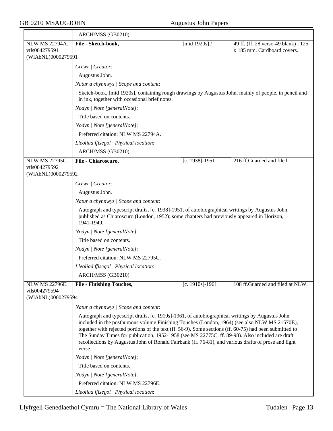# GB 0210 MSAUGJOHN Augustus John Papers

|                                     | ARCH/MSS (GB0210)                                                                                                                                                                                                                                                                                                                                                                                                                                                                                                               |                  |                                     |
|-------------------------------------|---------------------------------------------------------------------------------------------------------------------------------------------------------------------------------------------------------------------------------------------------------------------------------------------------------------------------------------------------------------------------------------------------------------------------------------------------------------------------------------------------------------------------------|------------------|-------------------------------------|
| <b>NLW MS 22794A.</b>               | File - Sketch-book,                                                                                                                                                                                                                                                                                                                                                                                                                                                                                                             | [mid $1920s$ ] / | 49 ff. (ff. 28 verso-49 blank); 125 |
| vtls004279591<br>(WIAbNL)0000279591 |                                                                                                                                                                                                                                                                                                                                                                                                                                                                                                                                 |                  | x 185 mm. Cardboard covers.         |
|                                     |                                                                                                                                                                                                                                                                                                                                                                                                                                                                                                                                 |                  |                                     |
|                                     | Crëwr   Creator:                                                                                                                                                                                                                                                                                                                                                                                                                                                                                                                |                  |                                     |
|                                     | Augustus John.                                                                                                                                                                                                                                                                                                                                                                                                                                                                                                                  |                  |                                     |
|                                     | Natur a chynnwys / Scope and content:                                                                                                                                                                                                                                                                                                                                                                                                                                                                                           |                  |                                     |
|                                     | Sketch-book, [mid 1920s], containing rough drawings by Augustus John, mainly of people, in pencil and<br>in ink, together with occasional brief notes.                                                                                                                                                                                                                                                                                                                                                                          |                  |                                     |
|                                     | Nodyn   Note [generalNote]:                                                                                                                                                                                                                                                                                                                                                                                                                                                                                                     |                  |                                     |
|                                     | Title based on contents.                                                                                                                                                                                                                                                                                                                                                                                                                                                                                                        |                  |                                     |
|                                     | Nodyn   Note [generalNote]:                                                                                                                                                                                                                                                                                                                                                                                                                                                                                                     |                  |                                     |
|                                     | Preferred citation: NLW MS 22794A.                                                                                                                                                                                                                                                                                                                                                                                                                                                                                              |                  |                                     |
|                                     | Lleoliad ffisegol   Physical location:                                                                                                                                                                                                                                                                                                                                                                                                                                                                                          |                  |                                     |
|                                     | ARCH/MSS (GB0210)                                                                                                                                                                                                                                                                                                                                                                                                                                                                                                               |                  |                                     |
| <b>NLW MS 22795C.</b>               | File - Chiaroscuro,                                                                                                                                                                                                                                                                                                                                                                                                                                                                                                             | [c. 1938]-1951   | 216 ff.Guarded and filed.           |
| vtls004279592<br>(WIAbNL)0000279592 |                                                                                                                                                                                                                                                                                                                                                                                                                                                                                                                                 |                  |                                     |
|                                     | Crëwr   Creator:                                                                                                                                                                                                                                                                                                                                                                                                                                                                                                                |                  |                                     |
|                                     | Augustus John.                                                                                                                                                                                                                                                                                                                                                                                                                                                                                                                  |                  |                                     |
|                                     | Natur a chynnwys / Scope and content:                                                                                                                                                                                                                                                                                                                                                                                                                                                                                           |                  |                                     |
|                                     | Autograph and typescript drafts, [c. 1938]-1951, of autobiographical writings by Augustus John,<br>published as Chiaroscuro (London, 1952); some chapters had previously appeared in Horizon,<br>1941-1949.                                                                                                                                                                                                                                                                                                                     |                  |                                     |
|                                     | Nodyn   Note [generalNote]:                                                                                                                                                                                                                                                                                                                                                                                                                                                                                                     |                  |                                     |
|                                     | Title based on contents.                                                                                                                                                                                                                                                                                                                                                                                                                                                                                                        |                  |                                     |
|                                     | Nodyn   Note [generalNote]:                                                                                                                                                                                                                                                                                                                                                                                                                                                                                                     |                  |                                     |
|                                     | Preferred citation: NLW MS 22795C.                                                                                                                                                                                                                                                                                                                                                                                                                                                                                              |                  |                                     |
|                                     | Lleoliad ffisegol   Physical location:                                                                                                                                                                                                                                                                                                                                                                                                                                                                                          |                  |                                     |
|                                     | ARCH/MSS (GB0210)                                                                                                                                                                                                                                                                                                                                                                                                                                                                                                               |                  |                                     |
| <b>NLW MS 22796E.</b>               | <b>File - Finishing Touches,</b>                                                                                                                                                                                                                                                                                                                                                                                                                                                                                                | [c. 1910s]-1961  | 108 ff.Guarded and filed at NLW.    |
| vtls004279594<br>(WIAbNL)0000279594 |                                                                                                                                                                                                                                                                                                                                                                                                                                                                                                                                 |                  |                                     |
|                                     | Natur a chynnwys / Scope and content:                                                                                                                                                                                                                                                                                                                                                                                                                                                                                           |                  |                                     |
|                                     | Autograph and typescript drafts, [c. 1910s]-1961, of autobiographical writings by Augustus John<br>included in the posthumous volume Finishing Touches (London, 1964) (see also NLW MS 21570E),<br>together with rejected portions of the text (ff. 56-9). Some sections (ff. 60-75) had been submitted to<br>The Sunday Times for publication, 1952-1958 (see MS 22775C, ff. 89-98). Also included are draft<br>recollections by Augustus John of Ronald Fairbank (ff. 76-81), and various drafts of prose and light<br>verse. |                  |                                     |
|                                     | Nodyn   Note [generalNote]:                                                                                                                                                                                                                                                                                                                                                                                                                                                                                                     |                  |                                     |
|                                     | Title based on contents.                                                                                                                                                                                                                                                                                                                                                                                                                                                                                                        |                  |                                     |
|                                     | Nodyn   Note [generalNote]:                                                                                                                                                                                                                                                                                                                                                                                                                                                                                                     |                  |                                     |
|                                     | Preferred citation: NLW MS 22796E.                                                                                                                                                                                                                                                                                                                                                                                                                                                                                              |                  |                                     |
|                                     | Lleoliad ffisegol   Physical location:                                                                                                                                                                                                                                                                                                                                                                                                                                                                                          |                  |                                     |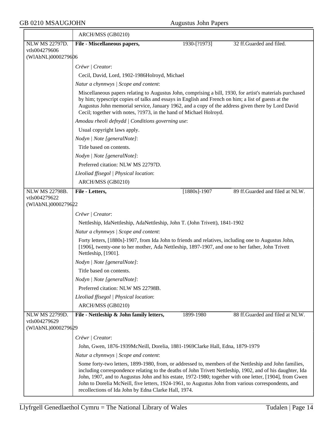## GB 0210 MSAUGJOHN Augustus John Papers

|                                     | ARCH/MSS (GB0210)                                                                                                                                                                                                                                                                                                                                                                                                                                                                              |                                       |                                 |  |
|-------------------------------------|------------------------------------------------------------------------------------------------------------------------------------------------------------------------------------------------------------------------------------------------------------------------------------------------------------------------------------------------------------------------------------------------------------------------------------------------------------------------------------------------|---------------------------------------|---------------------------------|--|
| <b>NLW MS 22797D.</b>               | File - Miscellaneous papers,                                                                                                                                                                                                                                                                                                                                                                                                                                                                   | 1930-[?1973]                          | 32 ff.Guarded and filed.        |  |
| vtls004279606<br>(WIAbNL)0000279606 |                                                                                                                                                                                                                                                                                                                                                                                                                                                                                                |                                       |                                 |  |
|                                     |                                                                                                                                                                                                                                                                                                                                                                                                                                                                                                |                                       |                                 |  |
|                                     | Crëwr   Creator:                                                                                                                                                                                                                                                                                                                                                                                                                                                                               |                                       |                                 |  |
|                                     | Cecil, David, Lord, 1902-1986Holroyd, Michael                                                                                                                                                                                                                                                                                                                                                                                                                                                  |                                       |                                 |  |
|                                     | Natur a chynnwys / Scope and content:                                                                                                                                                                                                                                                                                                                                                                                                                                                          |                                       |                                 |  |
|                                     | Miscellaneous papers relating to Augustus John, comprising a bill, 1930, for artist's materials purchased<br>by him; typescript copies of talks and essays in English and French on him; a list of guests at the<br>Augustus John memorial service, January 1962, and a copy of the address given there by Lord David<br>Cecil; together with notes, ?1973, in the hand of Michael Holroyd.                                                                                                    |                                       |                                 |  |
|                                     | Amodau rheoli defnydd   Conditions governing use:                                                                                                                                                                                                                                                                                                                                                                                                                                              |                                       |                                 |  |
|                                     | Usual copyright laws apply.                                                                                                                                                                                                                                                                                                                                                                                                                                                                    |                                       |                                 |  |
|                                     | Nodyn   Note [generalNote]:                                                                                                                                                                                                                                                                                                                                                                                                                                                                    |                                       |                                 |  |
|                                     | Title based on contents.                                                                                                                                                                                                                                                                                                                                                                                                                                                                       |                                       |                                 |  |
|                                     | Nodyn   Note [generalNote]:                                                                                                                                                                                                                                                                                                                                                                                                                                                                    |                                       |                                 |  |
|                                     | Preferred citation: NLW MS 22797D.                                                                                                                                                                                                                                                                                                                                                                                                                                                             |                                       |                                 |  |
|                                     | Lleoliad ffisegol   Physical location:                                                                                                                                                                                                                                                                                                                                                                                                                                                         |                                       |                                 |  |
|                                     | ARCH/MSS (GB0210)                                                                                                                                                                                                                                                                                                                                                                                                                                                                              |                                       |                                 |  |
| <b>NLW MS 22798B.</b>               | File - Letters,                                                                                                                                                                                                                                                                                                                                                                                                                                                                                | $[1880s] - 1907$                      | 89 ff.Guarded and filed at NLW. |  |
| vtls004279622                       |                                                                                                                                                                                                                                                                                                                                                                                                                                                                                                |                                       |                                 |  |
| (WIAbNL)0000279622                  |                                                                                                                                                                                                                                                                                                                                                                                                                                                                                                |                                       |                                 |  |
|                                     | Crëwr   Creator:                                                                                                                                                                                                                                                                                                                                                                                                                                                                               |                                       |                                 |  |
|                                     | Nettleship, IdaNettleship, AdaNettleship, John T. (John Trivett), 1841-1902                                                                                                                                                                                                                                                                                                                                                                                                                    |                                       |                                 |  |
|                                     |                                                                                                                                                                                                                                                                                                                                                                                                                                                                                                | Natur a chynnwys / Scope and content: |                                 |  |
|                                     | Forty letters, [1880s]-1907, from Ida John to friends and relatives, including one to Augustus John,<br>[1906], twenty-one to her mother, Ada Nettleship, 1897-1907, and one to her father, John Trivett<br>Nettleship, [1901].                                                                                                                                                                                                                                                                |                                       |                                 |  |
|                                     | Nodyn   Note [generalNote]:                                                                                                                                                                                                                                                                                                                                                                                                                                                                    |                                       |                                 |  |
|                                     | Title based on contents.                                                                                                                                                                                                                                                                                                                                                                                                                                                                       |                                       |                                 |  |
|                                     | Nodyn   Note [generalNote]:                                                                                                                                                                                                                                                                                                                                                                                                                                                                    |                                       |                                 |  |
|                                     | Preferred citation: NLW MS 22798B.                                                                                                                                                                                                                                                                                                                                                                                                                                                             |                                       |                                 |  |
|                                     | Lleoliad ffisegol   Physical location:                                                                                                                                                                                                                                                                                                                                                                                                                                                         |                                       |                                 |  |
|                                     | ARCH/MSS (GB0210)                                                                                                                                                                                                                                                                                                                                                                                                                                                                              |                                       |                                 |  |
| <b>NLW MS 22799D.</b>               | File - Nettleship & John family letters,                                                                                                                                                                                                                                                                                                                                                                                                                                                       | 1899-1980                             | 88 ff.Guarded and filed at NLW. |  |
| vtls004279629                       |                                                                                                                                                                                                                                                                                                                                                                                                                                                                                                |                                       |                                 |  |
| (WIAbNL)0000279629                  |                                                                                                                                                                                                                                                                                                                                                                                                                                                                                                |                                       |                                 |  |
|                                     | Crëwr   Creator:                                                                                                                                                                                                                                                                                                                                                                                                                                                                               |                                       |                                 |  |
|                                     | John, Gwen, 1876-1939McNeill, Dorelia, 1881-1969Clarke Hall, Edna, 1879-1979                                                                                                                                                                                                                                                                                                                                                                                                                   |                                       |                                 |  |
|                                     | Natur a chynnwys / Scope and content:                                                                                                                                                                                                                                                                                                                                                                                                                                                          |                                       |                                 |  |
|                                     | Some forty-two letters, 1899-1980, from, or addressed to, members of the Nettleship and John families,<br>including correspondence relating to the deaths of John Trivett Nettleship, 1902, and of his daughter, Ida<br>John, 1907, and to Augustus John and his estate, 1972-1980; together with one letter, [1904], from Gwen<br>John to Dorelia McNeill, five letters, 1924-1961, to Augustus John from various correspondents, and<br>recollections of Ida John by Edna Clarke Hall, 1974. |                                       |                                 |  |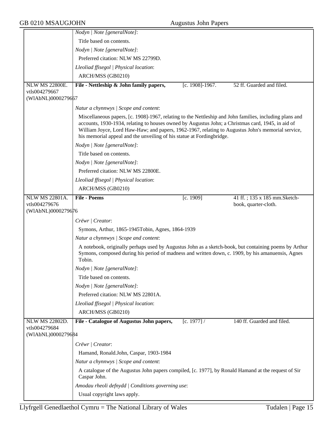|                       | Nodyn   Note [generalNote]:                                                                                                                                                                                                                                                                                                                                                                |
|-----------------------|--------------------------------------------------------------------------------------------------------------------------------------------------------------------------------------------------------------------------------------------------------------------------------------------------------------------------------------------------------------------------------------------|
|                       | Title based on contents.                                                                                                                                                                                                                                                                                                                                                                   |
|                       | Nodyn   Note [generalNote]:                                                                                                                                                                                                                                                                                                                                                                |
|                       | Preferred citation: NLW MS 22799D.                                                                                                                                                                                                                                                                                                                                                         |
|                       | Lleoliad ffisegol   Physical location:                                                                                                                                                                                                                                                                                                                                                     |
|                       | ARCH/MSS (GB0210)                                                                                                                                                                                                                                                                                                                                                                          |
| <b>NLW MS 22800E.</b> | File - Nettleship & John family papers,<br>[c. 1908]-1967.<br>52 ff. Guarded and filed.                                                                                                                                                                                                                                                                                                    |
| vtls004279667         |                                                                                                                                                                                                                                                                                                                                                                                            |
| (WIAbNL)0000279667    |                                                                                                                                                                                                                                                                                                                                                                                            |
|                       | Natur a chynnwys / Scope and content:                                                                                                                                                                                                                                                                                                                                                      |
|                       | Miscellaneous papers, [c. 1908]-1967, relating to the Nettleship and John families, including plans and<br>accounts, 1930-1934, relating to houses owned by Augustus John; a Christmas card, 1945, in aid of<br>William Joyce, Lord Haw-Haw; and papers, 1962-1967, relating to Augustus John's memorial service,<br>his memorial appeal and the unveiling of his statue at Fordingbridge. |
|                       | Nodyn   Note [generalNote]:                                                                                                                                                                                                                                                                                                                                                                |
|                       | Title based on contents.                                                                                                                                                                                                                                                                                                                                                                   |
|                       | Nodyn   Note [generalNote]:                                                                                                                                                                                                                                                                                                                                                                |
|                       | Preferred citation: NLW MS 22800E.                                                                                                                                                                                                                                                                                                                                                         |
|                       | Lleoliad ffisegol   Physical location:                                                                                                                                                                                                                                                                                                                                                     |
|                       | ARCH/MSS (GB0210)                                                                                                                                                                                                                                                                                                                                                                          |
| <b>NLW MS 22801A.</b> | <b>File - Poems</b><br>41 ff.; 135 x 185 mm. Sketch-<br>[c. 1909]                                                                                                                                                                                                                                                                                                                          |
| vtls004279676         | book, quarter-cloth.                                                                                                                                                                                                                                                                                                                                                                       |
| (WIAbNL)0000279676    |                                                                                                                                                                                                                                                                                                                                                                                            |
|                       | Crëwr   Creator:                                                                                                                                                                                                                                                                                                                                                                           |
|                       | Symons, Arthur, 1865-1945Tobin, Agnes, 1864-1939                                                                                                                                                                                                                                                                                                                                           |
|                       | Natur a chynnwys / Scope and content:                                                                                                                                                                                                                                                                                                                                                      |
|                       | A notebook, originally perhaps used by Augustus John as a sketch-book, but containing poems by Arthur<br>Symons, composed during his period of madness and written down, c. 1909, by his amanuensis, Agnes<br>Tobin.                                                                                                                                                                       |
|                       | Nodyn   Note [generalNote]:                                                                                                                                                                                                                                                                                                                                                                |
|                       | Title based on contents.                                                                                                                                                                                                                                                                                                                                                                   |
|                       | Nodyn   Note [generalNote]:                                                                                                                                                                                                                                                                                                                                                                |
|                       | Preferred citation: NLW MS 22801A.                                                                                                                                                                                                                                                                                                                                                         |
|                       | Lleoliad ffisegol   Physical location:                                                                                                                                                                                                                                                                                                                                                     |
|                       | ARCH/MSS (GB0210)                                                                                                                                                                                                                                                                                                                                                                          |
| NLW MS 22802D.        | 140 ff. Guarded and filed.<br>File - Catalogue of Augustus John papers,<br>[c. 1977] /                                                                                                                                                                                                                                                                                                     |
| vtls004279684         |                                                                                                                                                                                                                                                                                                                                                                                            |
| (WIAbNL)0000279684    |                                                                                                                                                                                                                                                                                                                                                                                            |
|                       | Crëwr   Creator:                                                                                                                                                                                                                                                                                                                                                                           |
|                       | Hamand, Ronald.John, Caspar, 1903-1984                                                                                                                                                                                                                                                                                                                                                     |
|                       | Natur a chynnwys / Scope and content:                                                                                                                                                                                                                                                                                                                                                      |
|                       | A catalogue of the Augustus John papers compiled, [c. 1977], by Ronald Hamand at the request of Sir                                                                                                                                                                                                                                                                                        |
|                       | Caspar John.                                                                                                                                                                                                                                                                                                                                                                               |
|                       | Amodau rheoli defnydd   Conditions governing use:<br>Usual copyright laws apply.                                                                                                                                                                                                                                                                                                           |